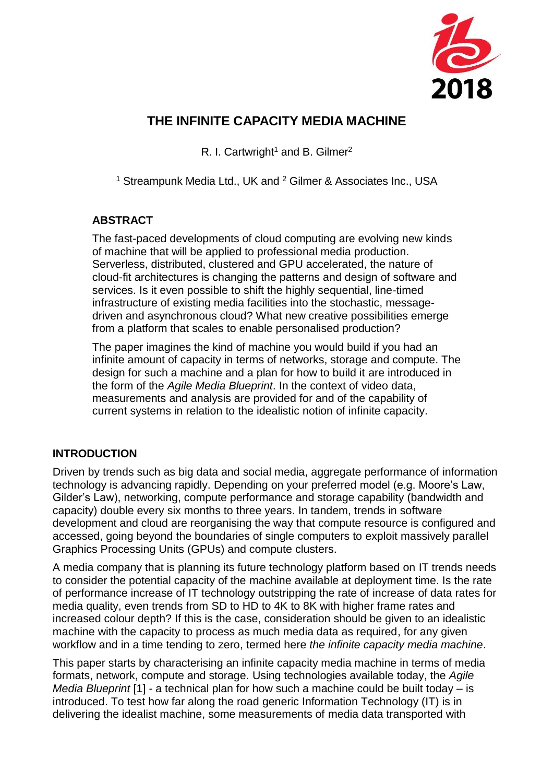

# **THE INFINITE CAPACITY MEDIA MACHINE**

R. I. Cartwright<sup>1</sup> and B. Gilmer<sup>2</sup>

<sup>1</sup> Streampunk Media Ltd., UK and <sup>2</sup> Gilmer & Associates Inc., USA

# **ABSTRACT**

The fast-paced developments of cloud computing are evolving new kinds of machine that will be applied to professional media production. Serverless, distributed, clustered and GPU accelerated, the nature of cloud-fit architectures is changing the patterns and design of software and services. Is it even possible to shift the highly sequential, line-timed infrastructure of existing media facilities into the stochastic, messagedriven and asynchronous cloud? What new creative possibilities emerge from a platform that scales to enable personalised production?

The paper imagines the kind of machine you would build if you had an infinite amount of capacity in terms of networks, storage and compute. The design for such a machine and a plan for how to build it are introduced in the form of the *Agile Media Blueprint*. In the context of video data, measurements and analysis are provided for and of the capability of current systems in relation to the idealistic notion of infinite capacity.

# **INTRODUCTION**

Driven by trends such as big data and social media, aggregate performance of information technology is advancing rapidly. Depending on your preferred model (e.g. Moore's Law, Gilder's Law), networking, compute performance and storage capability (bandwidth and capacity) double every six months to three years. In tandem, trends in software development and cloud are reorganising the way that compute resource is configured and accessed, going beyond the boundaries of single computers to exploit massively parallel Graphics Processing Units (GPUs) and compute clusters.

A media company that is planning its future technology platform based on IT trends needs to consider the potential capacity of the machine available at deployment time. Is the rate of performance increase of IT technology outstripping the rate of increase of data rates for media quality, even trends from SD to HD to 4K to 8K with higher frame rates and increased colour depth? If this is the case, consideration should be given to an idealistic machine with the capacity to process as much media data as required, for any given workflow and in a time tending to zero, termed here *the infinite capacity media machine*.

This paper starts by characterising an infinite capacity media machine in terms of media formats, network, compute and storage. Using technologies available today, the *Agile Media Blueprint* [1] - a technical plan for how such a machine could be built today – is introduced. To test how far along the road generic Information Technology (IT) is in delivering the idealist machine, some measurements of media data transported with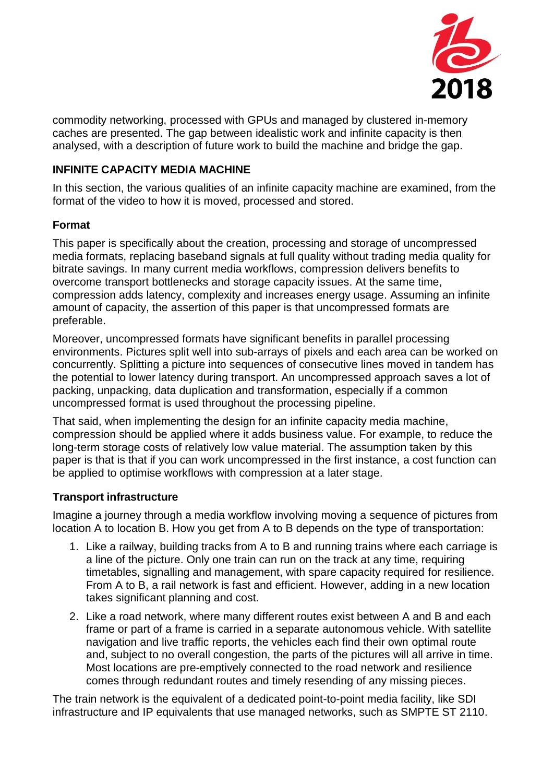

commodity networking, processed with GPUs and managed by clustered in-memory caches are presented. The gap between idealistic work and infinite capacity is then analysed, with a description of future work to build the machine and bridge the gap.

### **INFINITE CAPACITY MEDIA MACHINE**

In this section, the various qualities of an infinite capacity machine are examined, from the format of the video to how it is moved, processed and stored.

#### **Format**

This paper is specifically about the creation, processing and storage of uncompressed media formats, replacing baseband signals at full quality without trading media quality for bitrate savings. In many current media workflows, compression delivers benefits to overcome transport bottlenecks and storage capacity issues. At the same time, compression adds latency, complexity and increases energy usage. Assuming an infinite amount of capacity, the assertion of this paper is that uncompressed formats are preferable.

Moreover, uncompressed formats have significant benefits in parallel processing environments. Pictures split well into sub-arrays of pixels and each area can be worked on concurrently. Splitting a picture into sequences of consecutive lines moved in tandem has the potential to lower latency during transport. An uncompressed approach saves a lot of packing, unpacking, data duplication and transformation, especially if a common uncompressed format is used throughout the processing pipeline.

That said, when implementing the design for an infinite capacity media machine, compression should be applied where it adds business value. For example, to reduce the long-term storage costs of relatively low value material. The assumption taken by this paper is that is that if you can work uncompressed in the first instance, a cost function can be applied to optimise workflows with compression at a later stage.

# **Transport infrastructure**

Imagine a journey through a media workflow involving moving a sequence of pictures from location A to location B. How you get from A to B depends on the type of transportation:

- 1. Like a railway, building tracks from A to B and running trains where each carriage is a line of the picture. Only one train can run on the track at any time, requiring timetables, signalling and management, with spare capacity required for resilience. From A to B, a rail network is fast and efficient. However, adding in a new location takes significant planning and cost.
- 2. Like a road network, where many different routes exist between A and B and each frame or part of a frame is carried in a separate autonomous vehicle. With satellite navigation and live traffic reports, the vehicles each find their own optimal route and, subject to no overall congestion, the parts of the pictures will all arrive in time. Most locations are pre-emptively connected to the road network and resilience comes through redundant routes and timely resending of any missing pieces.

The train network is the equivalent of a dedicated point-to-point media facility, like SDI infrastructure and IP equivalents that use managed networks, such as SMPTE ST 2110.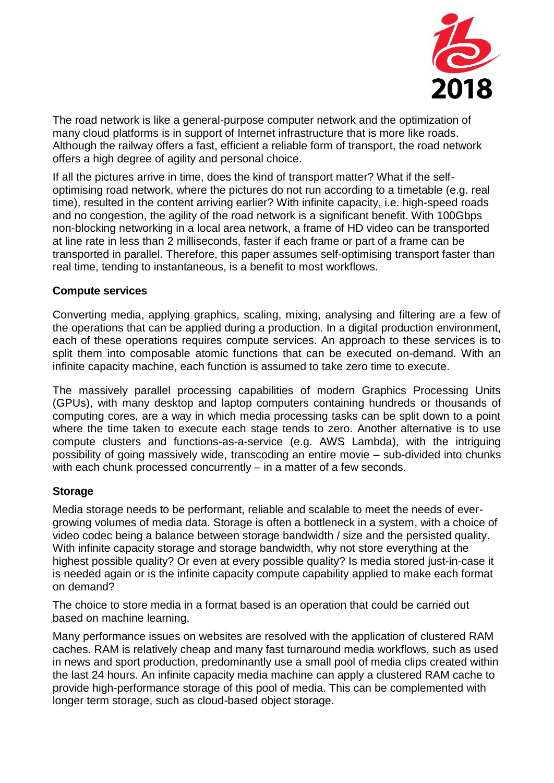

The road network is like a general-purpose computer network and the optimization of many cloud platforms is in support of Internet infrastructure that is more like roads. Although the railway offers a fast, efficient a reliable form of transport, the road network offers a high degree of agility and personal choice.

If all the pictures arrive in time, does the kind of transport matter? What if the selfoptimising road network, where the pictures do not run according to a timetable (e.g. real time), resulted in the content arriving earlier? With infinite capacity, i.e. high-speed roads and no congestion, the agility of the road network is a significant benefit. With 100Gbps non-blocking networking in a local area network, a frame of HD video can be transported at line rate in less than 2 milliseconds, faster if each frame or part of a frame can be transported in parallel. Therefore, this paper assumes self-optimising transport faster than real time, tending to instantaneous, is a benefit to most workflows.

#### **Compute services**

Converting media, applying graphics, scaling, mixing, analysing and filtering are a few of the operations that can be applied during a production. In a digital production environment, each of these operations requires compute services. An approach to these services is to split them into composable atomic functions that can be executed on-demand. With an infinite capacity machine, each function is assumed to take zero time to execute.

The massively parallel processing capabilities of modern Graphics Processing Units (GPUs), with many desktop and laptop computers containing hundreds or thousands of computing cores, are a way in which media processing tasks can be split down to a point where the time taken to execute each stage tends to zero. Another alternative is to use compute clusters and functions-as-a-service (e.g. AWS Lambda), with the intriguing possibility of going massively wide, transcoding an entire movie – sub-divided into chunks with each chunk processed concurrently – in a matter of a few seconds.

#### **Storage**

Media storage needs to be performant, reliable and scalable to meet the needs of evergrowing volumes of media data. Storage is often a bottleneck in a system, with a choice of video codec being a balance between storage bandwidth / size and the persisted quality. With infinite capacity storage and storage bandwidth, why not store everything at the highest possible quality? Or even at every possible quality? Is media stored just-in-case it is needed again or is the infinite capacity compute capability applied to make each format on demand?

The choice to store media in a format based is an operation that could be carried out based on machine learning.

Many performance issues on websites are resolved with the application of clustered RAM caches. RAM is relatively cheap and many fast turnaround media workflows, such as used in news and sport production, predominantly use a small pool of media clips created within the last 24 hours. An infinite capacity media machine can apply a clustered RAM cache to provide high-performance storage of this pool of media. This can be complemented with longer term storage, such as cloud-based object storage.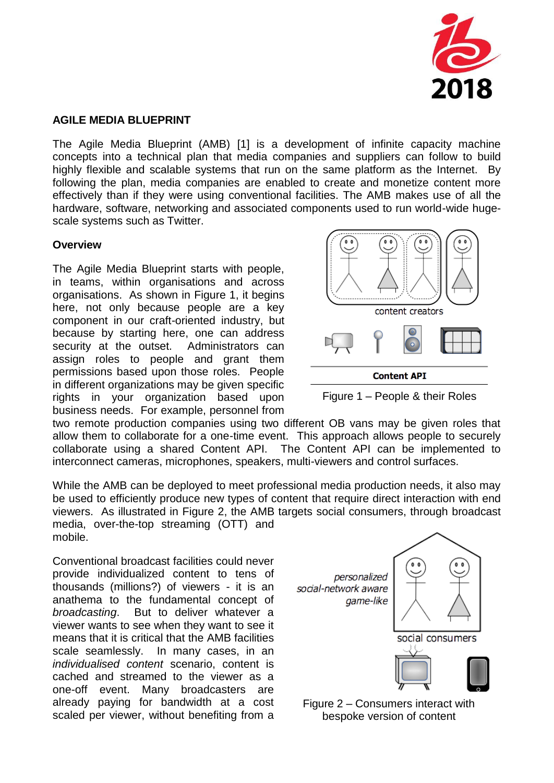

#### **AGILE MEDIA BLUEPRINT**

The Agile Media Blueprint (AMB) [1] is a development of infinite capacity machine concepts into a technical plan that media companies and suppliers can follow to build highly flexible and scalable systems that run on the same platform as the Internet. By following the plan, media companies are enabled to create and monetize content more effectively than if they were using conventional facilities. The AMB makes use of all the hardware, software, networking and associated components used to run world-wide hugescale systems such as Twitter.

#### **Overview**

The Agile Media Blueprint starts with people, in teams, within organisations and across organisations. As shown in Figure 1, it begins here, not only because people are a key component in our craft-oriented industry, but because by starting here, one can address security at the outset. Administrators can assign roles to people and grant them permissions based upon those roles. People in different organizations may be given specific rights in your organization based upon business needs. For example, personnel from



Figure 1 – People & their Roles

two remote production companies using two different OB vans may be given roles that allow them to collaborate for a one-time event. This approach allows people to securely collaborate using a shared Content API. The Content API can be implemented to interconnect cameras, microphones, speakers, multi-viewers and control surfaces.

While the AMB can be deployed to meet professional media production needs, it also may be used to efficiently produce new types of content that require direct interaction with end viewers. As illustrated in Figure 2, the AMB targets social consumers, through broadcast media, over-the-top streaming (OTT) and mobile.

Conventional broadcast facilities could never provide individualized content to tens of thousands (millions?) of viewers - it is an anathema to the fundamental concept of *broadcasting*. But to deliver whatever a viewer wants to see when they want to see it means that it is critical that the AMB facilities scale seamlessly. In many cases, in an *individualised content* scenario, content is cached and streamed to the viewer as a one-off event. Many broadcasters are already paying for bandwidth at a cost scaled per viewer, without benefiting from a



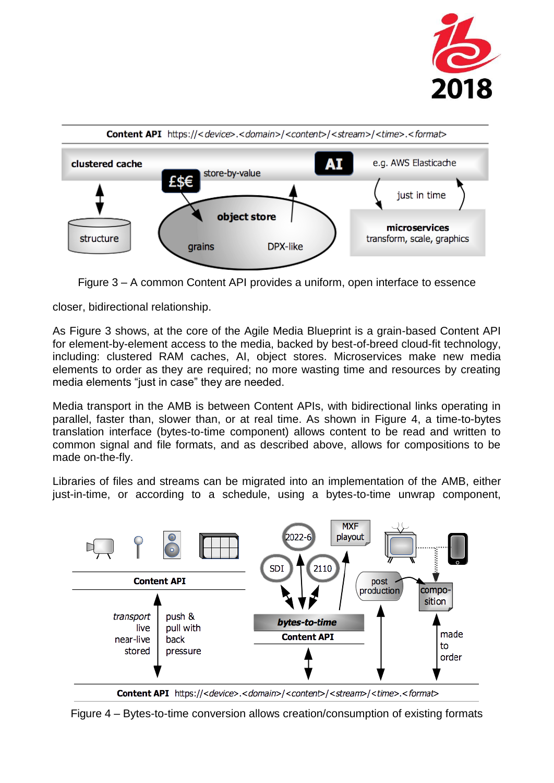



Figure 3 – A common Content API provides a uniform, open interface to essence

closer, bidirectional relationship.

As Figure 3 shows, at the core of the Agile Media Blueprint is a grain-based Content API for element-by-element access to the media, backed by best-of-breed cloud-fit technology, including: clustered RAM caches, AI, object stores. Microservices make new media elements to order as they are required; no more wasting time and resources by creating media elements "just in case" they are needed.

Media transport in the AMB is between Content APIs, with bidirectional links operating in parallel, faster than, slower than, or at real time. As shown in Figure 4, a time-to-bytes translation interface (bytes-to-time component) allows content to be read and written to common signal and file formats, and as described above, allows for compositions to be made on-the-fly.

Libraries of files and streams can be migrated into an implementation of the AMB, either just-in-time, or according to a schedule, using a bytes-to-time unwrap component,



Content API https://<device>.<domain>/<content>/<stream>/<time>.<format>

Figure 4 – Bytes-to-time conversion allows creation/consumption of existing formats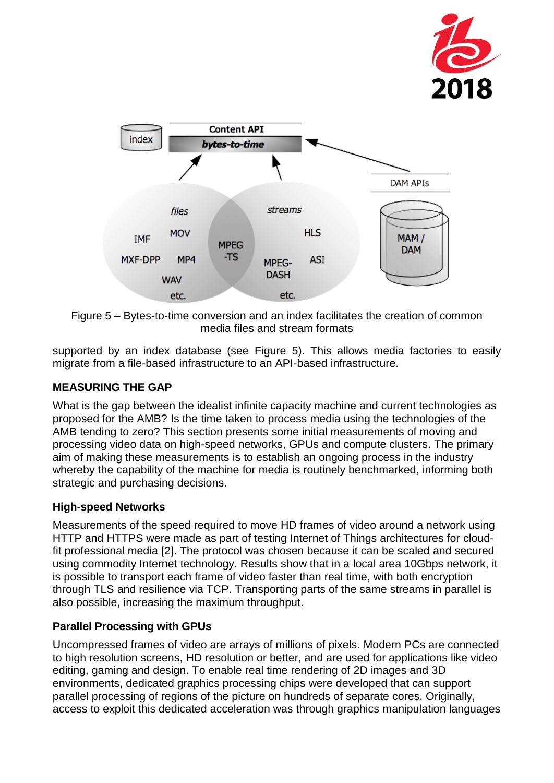



Figure 5 – Bytes-to-time conversion and an index facilitates the creation of common media files and stream formats

supported by an index database (see Figure 5). This allows media factories to easily migrate from a file-based infrastructure to an API-based infrastructure.

# **MEASURING THE GAP**

What is the gap between the idealist infinite capacity machine and current technologies as proposed for the AMB? Is the time taken to process media using the technologies of the AMB tending to zero? This section presents some initial measurements of moving and processing video data on high-speed networks, GPUs and compute clusters. The primary aim of making these measurements is to establish an ongoing process in the industry whereby the capability of the machine for media is routinely benchmarked, informing both strategic and purchasing decisions.

# **High-speed Networks**

Measurements of the speed required to move HD frames of video around a network using HTTP and HTTPS were made as part of testing Internet of Things architectures for cloudfit professional media [2]. The protocol was chosen because it can be scaled and secured using commodity Internet technology. Results show that in a local area 10Gbps network, it is possible to transport each frame of video faster than real time, with both encryption through TLS and resilience via TCP. Transporting parts of the same streams in parallel is also possible, increasing the maximum throughput.

# **Parallel Processing with GPUs**

Uncompressed frames of video are arrays of millions of pixels. Modern PCs are connected to high resolution screens, HD resolution or better, and are used for applications like video editing, gaming and design. To enable real time rendering of 2D images and 3D environments, dedicated graphics processing chips were developed that can support parallel processing of regions of the picture on hundreds of separate cores. Originally, access to exploit this dedicated acceleration was through graphics manipulation languages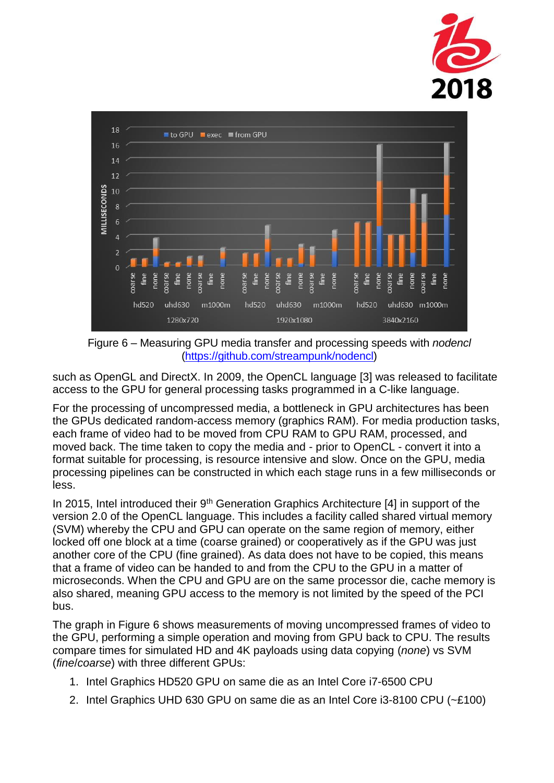



Figure 6 – Measuring GPU media transfer and processing speeds with *nodencl* [\(https://github.com/streampunk/nodencl\)](https://github.com/streampunk/nodencl)

such as OpenGL and DirectX. In 2009, the OpenCL language [3] was released to facilitate access to the GPU for general processing tasks programmed in a C-like language.

For the processing of uncompressed media, a bottleneck in GPU architectures has been the GPUs dedicated random-access memory (graphics RAM). For media production tasks, each frame of video had to be moved from CPU RAM to GPU RAM, processed, and moved back. The time taken to copy the media and - prior to OpenCL - convert it into a format suitable for processing, is resource intensive and slow. Once on the GPU, media processing pipelines can be constructed in which each stage runs in a few milliseconds or less.

In 2015, Intel introduced their  $9<sup>th</sup>$  Generation Graphics Architecture [4] in support of the version 2.0 of the OpenCL language. This includes a facility called shared virtual memory (SVM) whereby the CPU and GPU can operate on the same region of memory, either locked off one block at a time (coarse grained) or cooperatively as if the GPU was just another core of the CPU (fine grained). As data does not have to be copied, this means that a frame of video can be handed to and from the CPU to the GPU in a matter of microseconds. When the CPU and GPU are on the same processor die, cache memory is also shared, meaning GPU access to the memory is not limited by the speed of the PCI bus.

The graph in Figure 6 shows measurements of moving uncompressed frames of video to the GPU, performing a simple operation and moving from GPU back to CPU. The results compare times for simulated HD and 4K payloads using data copying (*none*) vs SVM (*fine*/*coarse*) with three different GPUs:

- 1. Intel Graphics HD520 GPU on same die as an Intel Core i7-6500 CPU
- 2. Intel Graphics UHD 630 GPU on same die as an Intel Core i3-8100 CPU (~£100)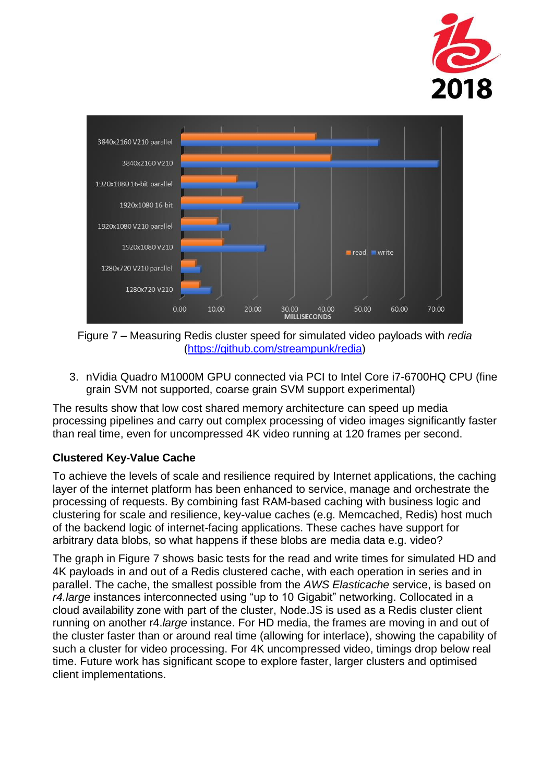



Figure 7 – Measuring Redis cluster speed for simulated video payloads with *redia* [\(https://github.com/streampunk/redia\)](https://github.com/streampunk/redia)

3. nVidia Quadro M1000M GPU connected via PCI to Intel Core i7-6700HQ CPU (fine grain SVM not supported, coarse grain SVM support experimental)

The results show that low cost shared memory architecture can speed up media processing pipelines and carry out complex processing of video images significantly faster than real time, even for uncompressed 4K video running at 120 frames per second.

# **Clustered Key-Value Cache**

To achieve the levels of scale and resilience required by Internet applications, the caching layer of the internet platform has been enhanced to service, manage and orchestrate the processing of requests. By combining fast RAM-based caching with business logic and clustering for scale and resilience, key-value caches (e.g. Memcached, Redis) host much of the backend logic of internet-facing applications. These caches have support for arbitrary data blobs, so what happens if these blobs are media data e.g. video?

The graph in Figure 7 shows basic tests for the read and write times for simulated HD and 4K payloads in and out of a Redis clustered cache, with each operation in series and in parallel. The cache, the smallest possible from the *AWS Elasticache* service, is based on *r4.large* instances interconnected using "up to 10 Gigabit" networking. Collocated in a cloud availability zone with part of the cluster, Node.JS is used as a Redis cluster client running on another r4.*large* instance. For HD media, the frames are moving in and out of the cluster faster than or around real time (allowing for interlace), showing the capability of such a cluster for video processing. For 4K uncompressed video, timings drop below real time. Future work has significant scope to explore faster, larger clusters and optimised client implementations.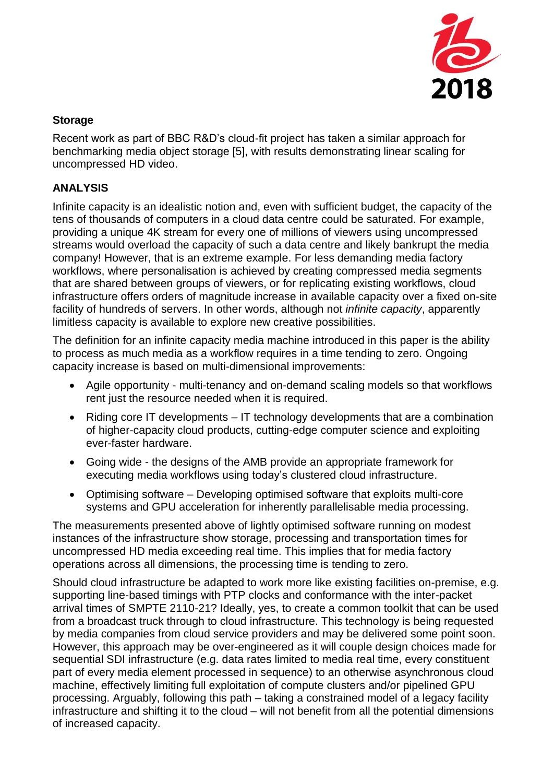

### **Storage**

Recent work as part of BBC R&D's cloud-fit project has taken a similar approach for benchmarking media object storage [5], with results demonstrating linear scaling for uncompressed HD video.

#### **ANALYSIS**

Infinite capacity is an idealistic notion and, even with sufficient budget, the capacity of the tens of thousands of computers in a cloud data centre could be saturated. For example, providing a unique 4K stream for every one of millions of viewers using uncompressed streams would overload the capacity of such a data centre and likely bankrupt the media company! However, that is an extreme example. For less demanding media factory workflows, where personalisation is achieved by creating compressed media segments that are shared between groups of viewers, or for replicating existing workflows, cloud infrastructure offers orders of magnitude increase in available capacity over a fixed on-site facility of hundreds of servers. In other words, although not *infinite capacity*, apparently limitless capacity is available to explore new creative possibilities.

The definition for an infinite capacity media machine introduced in this paper is the ability to process as much media as a workflow requires in a time tending to zero. Ongoing capacity increase is based on multi-dimensional improvements:

- Agile opportunity multi-tenancy and on-demand scaling models so that workflows rent just the resource needed when it is required.
- Riding core IT developments IT technology developments that are a combination of higher-capacity cloud products, cutting-edge computer science and exploiting ever-faster hardware.
- Going wide the designs of the AMB provide an appropriate framework for executing media workflows using today's clustered cloud infrastructure.
- Optimising software Developing optimised software that exploits multi-core systems and GPU acceleration for inherently parallelisable media processing.

The measurements presented above of lightly optimised software running on modest instances of the infrastructure show storage, processing and transportation times for uncompressed HD media exceeding real time. This implies that for media factory operations across all dimensions, the processing time is tending to zero.

Should cloud infrastructure be adapted to work more like existing facilities on-premise, e.g. supporting line-based timings with PTP clocks and conformance with the inter-packet arrival times of SMPTE 2110-21? Ideally, yes, to create a common toolkit that can be used from a broadcast truck through to cloud infrastructure. This technology is being requested by media companies from cloud service providers and may be delivered some point soon. However, this approach may be over-engineered as it will couple design choices made for sequential SDI infrastructure (e.g. data rates limited to media real time, every constituent part of every media element processed in sequence) to an otherwise asynchronous cloud machine, effectively limiting full exploitation of compute clusters and/or pipelined GPU processing. Arguably, following this path – taking a constrained model of a legacy facility infrastructure and shifting it to the cloud – will not benefit from all the potential dimensions of increased capacity.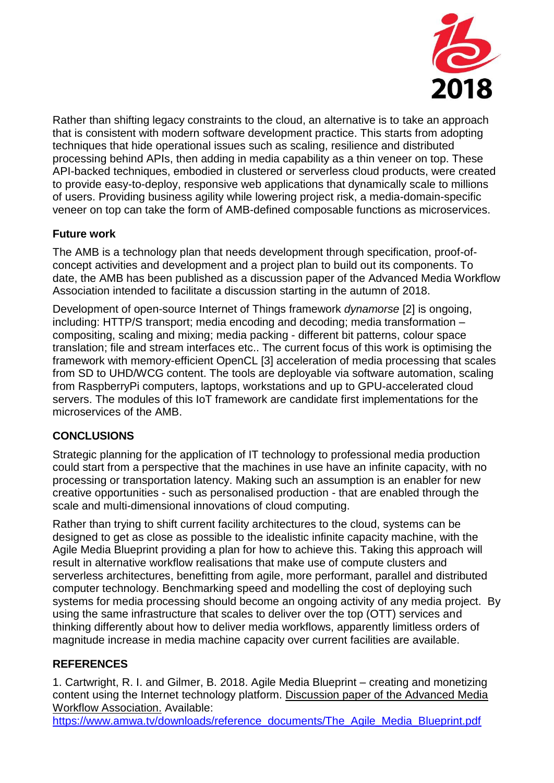

Rather than shifting legacy constraints to the cloud, an alternative is to take an approach that is consistent with modern software development practice. This starts from adopting techniques that hide operational issues such as scaling, resilience and distributed processing behind APIs, then adding in media capability as a thin veneer on top. These API-backed techniques, embodied in clustered or serverless cloud products, were created to provide easy-to-deploy, responsive web applications that dynamically scale to millions of users. Providing business agility while lowering project risk, a media-domain-specific veneer on top can take the form of AMB-defined composable functions as microservices.

# **Future work**

The AMB is a technology plan that needs development through specification, proof-ofconcept activities and development and a project plan to build out its components. To date, the AMB has been published as a discussion paper of the Advanced Media Workflow Association intended to facilitate a discussion starting in the autumn of 2018.

Development of open-source Internet of Things framework *dynamorse* [2] is ongoing, including: HTTP/S transport; media encoding and decoding; media transformation – compositing, scaling and mixing; media packing - different bit patterns, colour space translation; file and stream interfaces etc.. The current focus of this work is optimising the framework with memory-efficient OpenCL [3] acceleration of media processing that scales from SD to UHD/WCG content. The tools are deployable via software automation, scaling from RaspberryPi computers, laptops, workstations and up to GPU-accelerated cloud servers. The modules of this IoT framework are candidate first implementations for the microservices of the AMB.

# **CONCLUSIONS**

Strategic planning for the application of IT technology to professional media production could start from a perspective that the machines in use have an infinite capacity, with no processing or transportation latency. Making such an assumption is an enabler for new creative opportunities - such as personalised production - that are enabled through the scale and multi-dimensional innovations of cloud computing.

Rather than trying to shift current facility architectures to the cloud, systems can be designed to get as close as possible to the idealistic infinite capacity machine, with the Agile Media Blueprint providing a plan for how to achieve this. Taking this approach will result in alternative workflow realisations that make use of compute clusters and serverless architectures, benefitting from agile, more performant, parallel and distributed computer technology. Benchmarking speed and modelling the cost of deploying such systems for media processing should become an ongoing activity of any media project. By using the same infrastructure that scales to deliver over the top (OTT) services and thinking differently about how to deliver media workflows, apparently limitless orders of magnitude increase in media machine capacity over current facilities are available.

# **REFERENCES**

1. Cartwright, R. I. and Gilmer, B. 2018. Agile Media Blueprint – creating and monetizing content using the Internet technology platform. Discussion paper of the Advanced Media Workflow Association. Available:

[https://www.amwa.tv/downloads/reference\\_documents/The\\_Agile\\_Media\\_Blueprint.pdf](https://www.amwa.tv/downloads/reference_documents/The_Agile_Media_Blueprint.pdf)